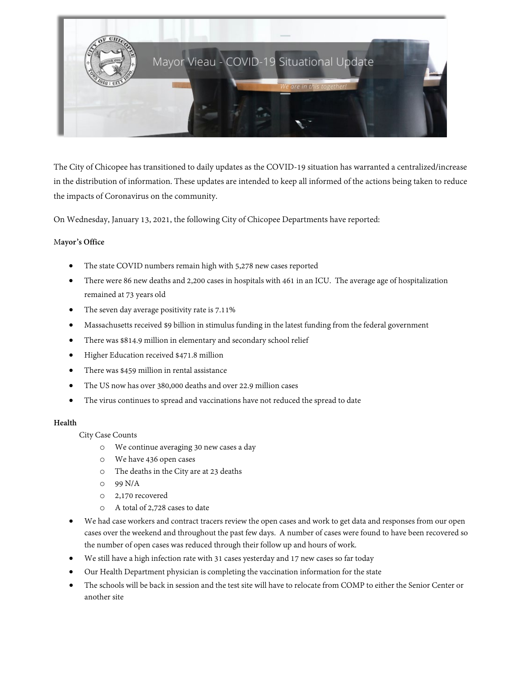

The City of Chicopee has transitioned to daily updates as the COVID-19 situation has warranted a centralized/increase in the distribution of information. These updates are intended to keep all informed of the actions being taken to reduce the impacts of Coronavirus on the community.

On Wednesday, January 13, 2021, the following City of Chicopee Departments have reported:

## M**ayor's Office**

- The state COVID numbers remain high with 5,278 new cases reported
- There were 86 new deaths and 2,200 cases in hospitals with 461 in an ICU. The average age of hospitalization remained at 73 years old
- The seven day average positivity rate is 7.11%
- Massachusetts received \$9 billion in stimulus funding in the latest funding from the federal government
- There was \$814.9 million in elementary and secondary school relief
- Higher Education received \$471.8 million
- There was \$459 million in rental assistance
- The US now has over 380,000 deaths and over 22.9 million cases
- The virus continues to spread and vaccinations have not reduced the spread to date

### **Health**

City Case Counts

- o We continue averaging 30 new cases a day
- o We have 436 open cases
- o The deaths in the City are at 23 deaths
- o 99 N/A
- o 2,170 recovered
- o A total of 2,728 cases to date
- We had case workers and contract tracers review the open cases and work to get data and responses from our open cases over the weekend and throughout the past few days. A number of cases were found to have been recovered so the number of open cases was reduced through their follow up and hours of work.
- We still have a high infection rate with 31 cases yesterday and 17 new cases so far today
- Our Health Department physician is completing the vaccination information for the state
- The schools will be back in session and the test site will have to relocate from COMP to either the Senior Center or another site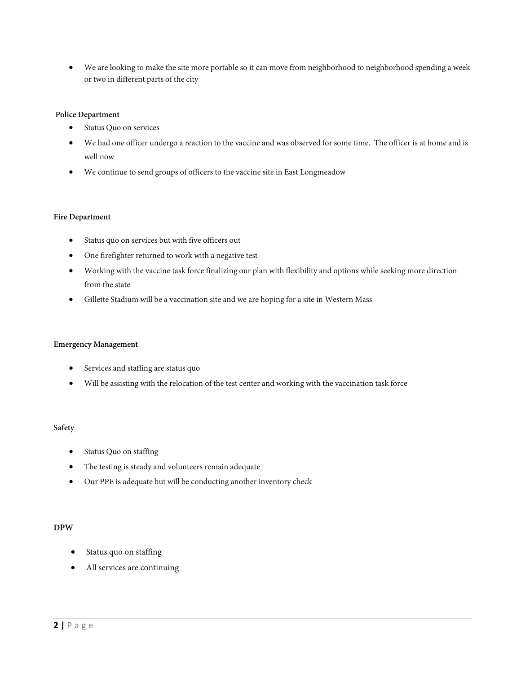• We are looking to make the site more portable so it can move from neighborhood to neighborhood spending a week or two in different parts of the city

## **Police Department**

- Status Quo on services
- We had one officer undergo a reaction to the vaccine and was observed for some time. The officer is at home and is well now
- We continue to send groups of officers to the vaccine site in East Longmeadow

#### **Fire Department**

- Status quo on services but with five officers out
- One firefighter returned to work with a negative test
- Working with the vaccine task force finalizing our plan with flexibility and options while seeking more direction from the state
- Gillette Stadium will be a vaccination site and we are hoping for a site in Western Mass

### **Emergency Management**

- Services and staffing are status quo
- Will be assisting with the relocation of the test center and working with the vaccination task force

### **Safety**

- Status Quo on staffing
- The testing is steady and volunteers remain adequate
- Our PPE is adequate but will be conducting another inventory check

### **DPW**

- Status quo on staffing
- All services are continuing